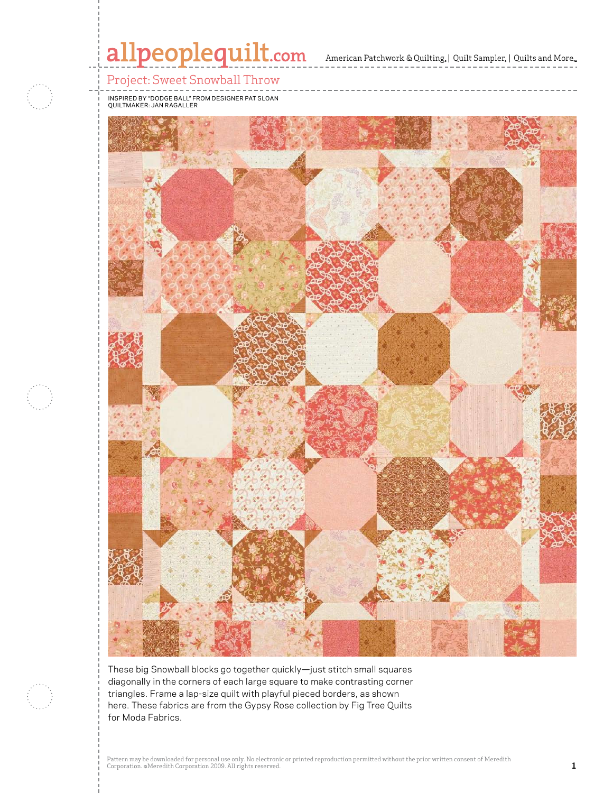

Pattern may be downloaded for personal use only. No electronic or personal use only. No electronic or personal use only. No electronic or prior written consent of Meredithhead and Meredithhead and Meredithhead and Meredith

Corporation. ©Meredith Corporation. ©Meredith Corporation. ©Meredith Corporation 2009. All rights reserved. Co<br>All rights reserved. All rights reserved. All rights reserved. All rights reserved. All rights reserved. All r

diagonally in the corners of each large square to make contrasting corner triangles. Frame a lap-size quilt with playful pieced borders, as shown here. These fabrics are from the Gypsy Rose collection by Fig Tree Quilts. for Moda Fabrics.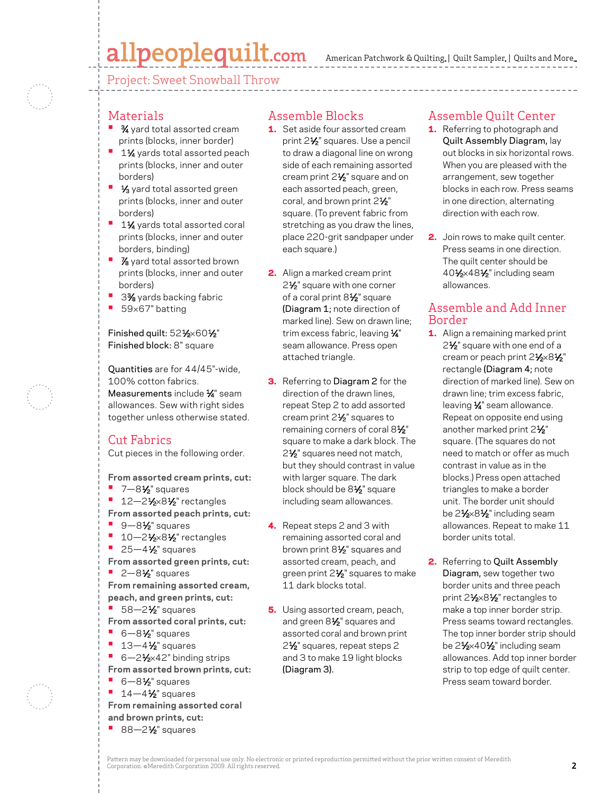# allpeoplequilt.com

American Patchwork & Quilting, | Quilt Sampler, | Quilts and More...

Project: Sweet Snowball Throw

#### Materials

- **3⁄4** yard total assorted cream prints (blocks, inner border)
- **<sup>•</sup>** 1½ yards total assorted peach prints (blocks, inner and outer borders)
- **1/<sub>3</sub>** yard total assorted green prints (blocks, inner and outer borders)
- **<sup>•</sup>** 1<sup>1</sup>⁄<sub>4</sub> yards total assorted coral prints (blocks, inner and outer borders, binding)
- *7*<sup>8</sup> yard total assorted brown prints (blocks, inner and outer borders)
- **•**  33⁄8 yards backing fabric
- **•**  59×67" batting

Finished quilt: 521⁄2×601⁄2" Finished block: 8" square

Quantities are for 44/45"-wide, 100% cotton fabrics. Measurements include 1/4" seam allowances. Sew with right sides together unless otherwise stated.

### Cut Fabrics

Cut pieces in the following order.

**From assorted cream prints, cut:**

**•**  7—81⁄2" squares

**•** 12-21/<sub>2</sub>×81/<sub>2</sub>" rectangles **From assorted peach prints, cut:**

- 9-8½ squares
- **•** 10-21/<sub>2</sub>×81/<sub>2</sub>" rectangles
- **•** 25–4½" squares

**From assorted green prints, cut: •** 2-8<sup>1</sup>/<sub>2</sub>" squares **From remaining assorted cream, peach, and green prints, cut:**

- 58-2½ squares
- **From assorted coral prints, cut:**
- **•**  6—81⁄2" squares
- **<sup>■</sup>** 13-4½" squares
- 6-21⁄2×42" binding strips
- **From assorted brown prints, cut: •**  6—81⁄2" squares
	- 14-4<sup>1</sup>/<sub>2</sub>" squares

**From remaining assorted coral and brown prints, cut: •** 88-2<sup>1</sup>/<sub>2</sub>" squares

- Assemble Blocks
- **1.** Set aside four assorted cream print 21⁄2" squares. Use a pencil to draw a diagonal line on wrong side of each remaining assorted cream print 2<sup>1/2</sup> square and on each assorted peach, green, coral, and brown print 2<sup>1/2"</sup> square. (To prevent fabric from stretching as you draw the lines, place 220-grit sandpaper under each square.)
- 2. Align a marked cream print 2<sup>1</sup>⁄<sub>2</sub>" square with one corner of a coral print 81/2" square (Diagram 1; note direction of marked line). Sew on drawn line; trim excess fabric, leaving  $\frac{1}{4}$ " seam allowance. Press open attached triangle.
- **3.** Referring to Diagram 2 for the direction of the drawn lines, repeat Step 2 to add assorted cream print 2<sup>1/2</sup> squares to remaining corners of coral 81/2" square to make a dark block. The 2<sup>1</sup>/<sub>2</sub>" squares need not match, but they should contrast in value with larger square. The dark block should be 81⁄2" square including seam allowances.
- 4. Repeat steps 2 and 3 with remaining assorted coral and brown print 81⁄2" squares and assorted cream, peach, and green print 2<sup>1/2</sup>" squares to make 11 dark blocks total.

**5.** Using assorted cream, peach, and green 8<sup>1/2</sup> squares and assorted coral and brown print 2<sup>1</sup>/<sub>2</sub>" squares, repeat steps 2 and 3 to make 19 light blocks (Diagram 3).

#### Assemble Quilt Center

- 1. Referring to photograph and Quilt Assembly Diagram, lay out blocks in six horizontal rows. When you are pleased with the arrangement, sew together blocks in each row. Press seams in one direction, alternating direction with each row.
- 2. Join rows to make quilt center. Press seams in one direction. The quilt center should be 401⁄2×481⁄2" including seam allowances.

#### Assemble and Add Inner Border

- 1. Align a remaining marked print 2<sup>1</sup>⁄2" square with one end of a cream or peach print 21/2×81/2" rectangle (Diagram 4; note direction of marked line). Sew on drawn line; trim excess fabric, leaving  $\frac{1}{4}$ " seam allowance. Repeat on opposite end using another marked print 21/2" square. (The squares do not need to match or offer as much contrast in value as in the blocks.) Press open attached triangles to make a border unit. The border unit should be 2<sup>1</sup>/<sub>2</sub>×8<sup>1</sup>/<sub>2</sub>" including seam allowances. Repeat to make 11 border units total.
- 2. Referring to Quilt Assembly Diagram, sew together two border units and three peach print 21⁄2×81⁄2" rectangles to make a top inner border strip. Press seams toward rectangles. The top inner border strip should be 2<sup>1</sup>/<sub>2</sub>×40<sup>1</sup>/<sub>2</sub>" including seam allowances. Add top inner border strip to top edge of quilt center. Press seam toward border.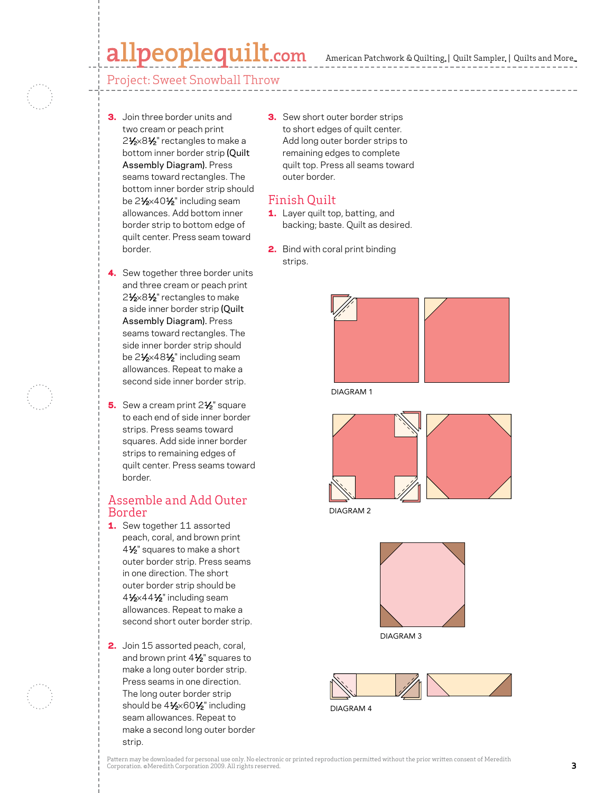## $\textbf{alpeople}$ quilt.com American Patchwork & Quilting, | Quilt Sampler, | Quilts and More...

Project: Sweet Snowball Throw

- **3.** Join three border units and two cream or peach print 21⁄2×81⁄2" rectangles to make a bottom inner border strip (Quilt Assembly Diagram). Press seams toward rectangles. The bottom inner border strip should be 2<sup>1</sup>/<sub>2</sub>×40<sup>1</sup>/<sub>2</sub>" including seam allowances. Add bottom inner border strip to bottom edge of quilt center. Press seam toward border.
- 4. Sew together three border units and three cream or peach print 21⁄2×81⁄2" rectangles to make a side inner border strip (Quilt Assembly Diagram). Press seams toward rectangles. The side inner border strip should be 21⁄2×481⁄2" including seam allowances. Repeat to make a second side inner border strip.
- 5. Sew a cream print 2<sup>1</sup>/<sub>2</sub>" square to each end of side inner border strips. Press seams toward squares. Add side inner border strips to remaining edges of quilt center. Press seams toward border.

#### Assemble and Add Outer Border

- 1. Sew together 11 assorted peach, coral, and brown print 41⁄2" squares to make a short outer border strip. Press seams in one direction. The short outer border strip should be 41⁄2×441⁄2" including seam allowances. Repeat to make a second short outer border strip.
- 2. Join 15 assorted peach, coral, and brown print  $4\frac{1}{2}$ " squares to make a long outer border strip. Press seams in one direction. The long outer border strip should be 41⁄2×601⁄2" including seam allowances. Repeat to make a second long outer border strip.

**3.** Sew short outer border strips to short edges of quilt center. Add long outer border strips to remaining edges to complete quilt top. Press all seams toward outer border.

#### Finish Quilt

- 1. Layer quilt top, batting, and backing; baste. Quilt as desired.
- **2.** Bind with coral print binding strips.



DIAGRAM 1



DIAGRAM 2



DIAGRAM 3



DIAGRAM 4